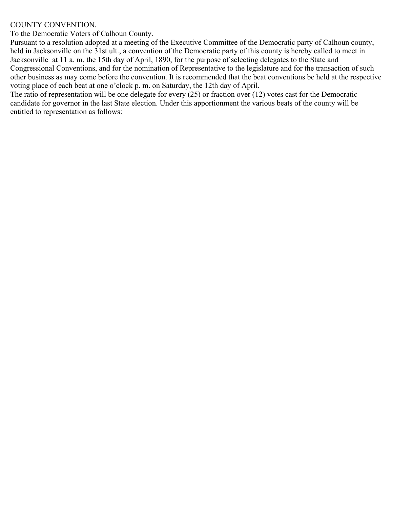## COUNTY CONVENTION.

To the Democratic Voters of Calhoun County.

Pursuant to a resolution adopted at a meeting of the Executive Committee of the Democratic party of Calhoun county, held in Jacksonville on the 31st ult., a convention of the Democratic party of this county is hereby called to meet in Jacksonville at 11 a. m. the 15th day of April, 1890, for the purpose of selecting delegates to the State and Congressional Conventions, and for the nomination of Representative to the legislature and for the transaction of such other business as may come before the convention. It is recommended that the beat conventions be held at the respective voting place of each beat at one o'clock p. m. on Saturday, the 12th day of April.

The ratio of representation will be one delegate for every (25) or fraction over (12) votes cast for the Democratic candidate for governor in the last State election. Under this apportionment the various beats of the county will be entitled to representation as follows: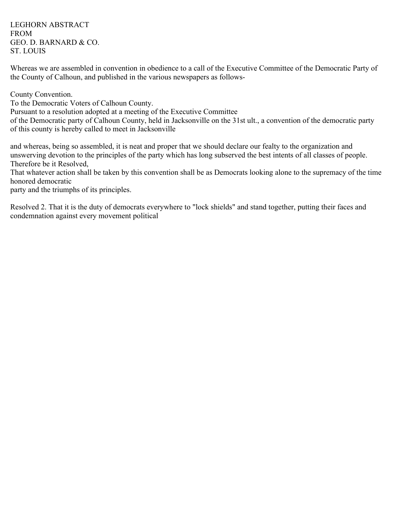LEGHORN ABSTRACT FROM GEO. D. BARNARD & CO. ST. LOUIS

Whereas we are assembled in convention in obedience to a call of the Executive Committee of the Democratic Party of the County of Calhoun, and published in the various newspapers as follows-

County Convention.

To the Democratic Voters of Calhoun County.

Pursuant to a resolution adopted at a meeting of the Executive Committee

of the Democratic party of Calhoun County, held in Jacksonville on the 31st ult., a convention of the democratic party of this county is hereby called to meet in Jacksonville

and whereas, being so assembled, it is neat and proper that we should declare our fealty to the organization and unswerving devotion to the principles of the party which has long subserved the best intents of all classes of people. Therefore be it Resolved,

That whatever action shall be taken by this convention shall be as Democrats looking alone to the supremacy of the time honored democratic

party and the triumphs of its principles.

Resolved 2. That it is the duty of democrats everywhere to "lock shields" and stand together, putting their faces and condemnation against every movement political